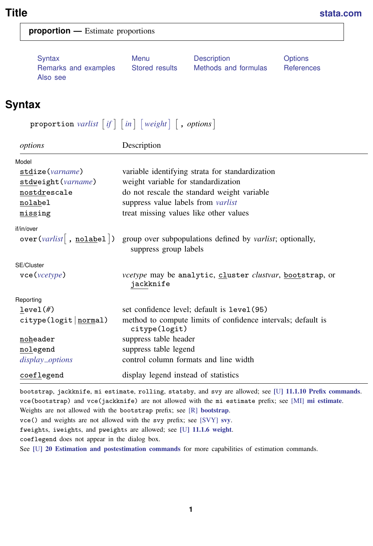<span id="page-0-2"></span>

| <b>proportion</b> — Estimate proportions |  |
|------------------------------------------|--|
|------------------------------------------|--|

[Remarks and examples](#page-2-0) [Stored results](#page-4-0) [Methods and formulas](#page-4-1) [References](#page-5-0) [Also see](#page-5-1)

[Syntax](#page-0-0) [Menu](#page-1-0) [Description](#page-1-1) [Options](#page-1-2)

# <span id="page-0-0"></span>**Syntax**

 $\texttt{proportion } \textit{varlist} \; \big[ \textit{if} \big] \; \big[ \textit{in} \big] \; \big[ \textit{weight} \big] \; \big[ \textit{, options} \big]$  $\texttt{proportion } \textit{varlist} \; \big[ \textit{if} \big] \; \big[ \textit{in} \big] \; \big[ \textit{weight} \big] \; \big[ \textit{, options} \big]$  $\texttt{proportion } \textit{varlist} \; \big[ \textit{if} \big] \; \big[ \textit{in} \big] \; \big[ \textit{weight} \big] \; \big[ \textit{, options} \big]$  $\texttt{proportion } \textit{varlist} \; \big[ \textit{if} \big] \; \big[ \textit{in} \big] \; \big[ \textit{weight} \big] \; \big[ \textit{, options} \big]$  $\texttt{proportion } \textit{varlist} \; \big[ \textit{if} \big] \; \big[ \textit{in} \big] \; \big[ \textit{weight} \big] \; \big[ \textit{, options} \big]$  $\texttt{proportion } \textit{varlist} \; \big[ \textit{if} \big] \; \big[ \textit{in} \big] \; \big[ \textit{weight} \big] \; \big[ \textit{, options} \big]$  $\texttt{proportion } \textit{varlist} \; \big[ \textit{if} \big] \; \big[ \textit{in} \big] \; \big[ \textit{weight} \big] \; \big[ \textit{, options} \big]$  $\texttt{proportion } \textit{varlist} \; \big[ \textit{if} \big] \; \big[ \textit{in} \big] \; \big[ \textit{weight} \big] \; \big[ \textit{, options} \big]$  $\texttt{proportion } \textit{varlist} \; \big[ \textit{if} \big] \; \big[ \textit{in} \big] \; \big[ \textit{weight} \big] \; \big[ \textit{, options} \big]$ 

| options                            | Description                                                                          |
|------------------------------------|--------------------------------------------------------------------------------------|
| Model                              |                                                                                      |
| stdize(varname)                    | variable identifying strata for standardization                                      |
| stdweight (varname)                | weight variable for standardization                                                  |
| nostdrescale                       | do not rescale the standard weight variable                                          |
| nolabel                            | suppress value labels from <i>varlist</i>                                            |
| missing                            | treat missing values like other values                                               |
| if/in/over                         |                                                                                      |
| over(varlist   , <u>nolabel</u>  ) | group over subpopulations defined by varlist; optionally,<br>suppress group labels   |
| SE/Cluster                         |                                                                                      |
| $\text{vec}(\text{vcetype})$       | <i>vcetype</i> may be analytic, cluster <i>clustvar</i> , bootstrap, or<br>jackknife |
| Reporting                          |                                                                                      |
| level(f)                           | set confidence level; default is level (95)                                          |
| citype(logit  <u>norm</u> al)      | method to compute limits of confidence intervals; default is<br>citype(logit)        |
| noheader                           | suppress table header                                                                |
| nolegend                           | suppress table legend                                                                |
| display_options                    | control column formats and line width                                                |
| coeflegend                         | display legend instead of statistics                                                 |

bootstrap, jackknife, mi estimate, rolling, statsby, and svy are allowed; see [U[\] 11.1.10 Prefix commands](http://www.stata.com/manuals13/u11.pdf#u11.1.10Prefixcommands). vce(bootstrap) and vce(jackknife) are not allowed with the mi estimate prefix; see [MI] [mi estimate](http://www.stata.com/manuals13/mimiestimate.pdf#mimiestimate). Weights are not allowed with the [bootstrap](http://www.stata.com/manuals13/rbootstrap.pdf#rbootstrap) prefix; see [R] bootstrap.

vce() and weights are not allowed with the svy prefix; see [\[SVY\]](http://www.stata.com/manuals13/svysvy.pdf#svysvy) svy.

<span id="page-0-1"></span>

fweights, iweights, and pweights are allowed; see [U[\] 11.1.6 weight](http://www.stata.com/manuals13/u11.pdf#u11.1.6weight).

coeflegend does not appear in the dialog box.

See [U[\] 20 Estimation and postestimation commands](http://www.stata.com/manuals13/u20.pdf#u20Estimationandpostestimationcommands) for more capabilities of estimation commands.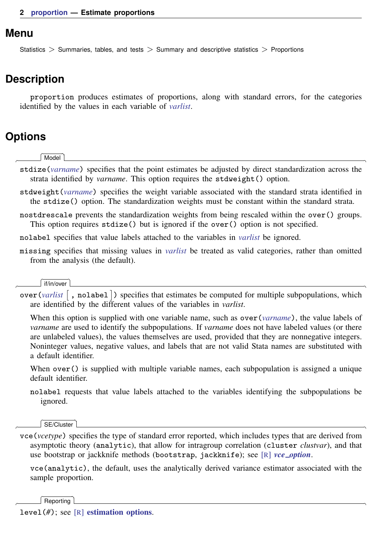#### <span id="page-1-0"></span>**Menu**

<span id="page-1-1"></span>Statistics > Summaries, tables, and tests > Summary and descriptive statistics > Proportions

### **Description**

<span id="page-1-2"></span>proportion produces estimates of proportions, along with standard errors, for the categories identified by the values in each variable of *[varlist](http://www.stata.com/manuals13/u11.pdf#u11.4varlists)*.

## **Options**

 $\overline{a}$ 

 $\overline{a}$ 

 $\overline{a}$ 

 $\overline{a}$ 

∫ Model <u>Ì</u> Model <u>such a community of the set of the set of the set of the set of the set of the set of the set of the set of the set of the set of the set of the set of the set of the set of the set of the set of the set of the set </u>

- stdize(*[varname](http://www.stata.com/manuals13/u11.pdf#u11.3Namingconventions)*) specifies that the point estimates be adjusted by direct standardization across the strata identified by *varname*. This option requires the stdweight() option.
- stdweight(*[varname](http://www.stata.com/manuals13/u11.pdf#u11.3Namingconventions)*) specifies the weight variable associated with the standard strata identified in the stdize() option. The standardization weights must be constant within the standard strata.
- nostdrescale prevents the standardization weights from being rescaled within the over() groups. This option requires stdize() but is ignored if the over() option is not specified.
- nolabel specifies that value labels attached to the variables in *[varlist](http://www.stata.com/manuals13/u11.pdf#u11.4varlists)* be ignored.
- missing specifies that missing values in *[varlist](http://www.stata.com/manuals13/u11.pdf#u11.4varlists)* be treated as valid categories, rather than omitted from the analysis (the default).

#### if/in/over if/in/over

over (*[varlist](http://www.stata.com/manuals13/u11.pdf#u11.4varlists)*  $\lceil$ , nolabel  $\rceil$ ) specifies that estimates be computed for multiple subpopulations, which are identified by the different values of the variables in *varlist*.

When this option is supplied with one variable name, such as over (*[varname](http://www.stata.com/manuals13/u11.pdf#u11.3Namingconventions)*), the value labels of *varname* are used to identify the subpopulations. If *varname* does not have labeled values (or there are unlabeled values), the values themselves are used, provided that they are nonnegative integers. Noninteger values, negative values, and labels that are not valid Stata names are substituted with a default identifier.

When over () is supplied with multiple variable names, each subpopulation is assigned a unique default identifier.

nolabel requests that value labels attached to the variables identifying the subpopulations be ignored.

SE/Cluster SE/Cluster

vce(*vcetype*) specifies the type of standard error reported, which includes types that are derived from asymptotic theory (analytic), that allow for intragroup correlation (cluster *clustvar*), and that use bootstrap or jackknife methods (bootstrap, jackknife); see [R] *vce [option](http://www.stata.com/manuals13/rvce_option.pdf#rvce_option)*.

vce(analytic), the default, uses the analytically derived variance estimator associated with the sample proportion.

Reporting Reporting Later and the contract of the contract of the contract of the contract of the contract of the contract of the contract of the contract of the contract of the contract of the contract of the contract of the contra

level(*#*); see [R] [estimation options](http://www.stata.com/manuals13/restimationoptions.pdf#restimationoptions).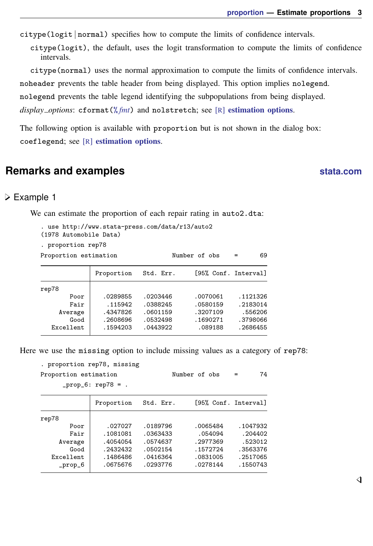$citype(logit | normal)$  specifies how to compute the limits of confidence intervals.

citype(logit), the default, uses the logit transformation to compute the limits of confidence intervals.

citype(normal) uses the normal approximation to compute the limits of confidence intervals. noheader prevents the table header from being displayed. This option implies nolegend. nolegend prevents the table legend identifying the subpopulations from being displayed. *display options*: cformat(% *[fmt](http://www.stata.com/manuals13/d.pdf#dformat)*) and nolstretch; see [R] [estimation options](http://www.stata.com/manuals13/restimationoptions.pdf#restimationoptions).

<span id="page-2-1"></span><span id="page-2-0"></span>The following option is available with proportion but is not shown in the dialog box: coeflegend; see [R] [estimation options](http://www.stata.com/manuals13/restimationoptions.pdf#restimationoptions).

# **Remarks and examples [stata.com](http://stata.com)**

#### **▷** Example 1

We can estimate the proportion of each repair rating in auto2.dta:

```
. use http://www.stata-press.com/data/r13/auto2
(1978 Automobile Data)
. proportion rep78
Proportion estimation Number of obs = 69
             Proportion Std. Err. [95% Conf. Interval]
rep78
       Poor .0289855 .0203446 .0070061 .1121326
       Fair | .115942 .0388245 .0580159 .2183014
    Average .4347826 .0601159 .3207109 .556206
       Good .2608696 .0532498 .1690271 .3798066<br>169128 .1594203 .0443922 .089188 .2686455
  Excellent .1594203 .0443922 .089188
```
Here we use the missing option to include missing values as a category of rep78:

```
. proportion rep78, missing
```

| Proportion estimation<br>$_{\text{prop6: rep78}} = .$ |            |           | Number of obs        | 74       |
|-------------------------------------------------------|------------|-----------|----------------------|----------|
|                                                       | Proportion | Std. Err. | [95% Conf. Interval] |          |
| rep78                                                 |            |           |                      |          |
| Poor                                                  | .027027    | .0189796  | .0065484             | .1047932 |
| Fair                                                  | .1081081   | .0363433  | .054094              | .204402  |
| Average                                               | .4054054   | .0574637  | .2977369             | .523012  |
| Good                                                  | .2432432   | .0502154  | .1572724             | .3563376 |
| Excellent                                             | .1486486   | .0416364  | .0831005             | .2517065 |
| $_{\texttt{-}prop\_6}$                                | .0675676   | .0293776  | .0278144             | .1550743 |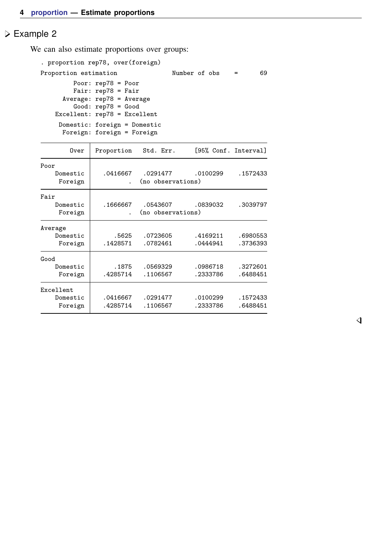#### Example 2

We can also estimate proportions over groups:

```
. proportion rep78, over(foreign)
Proportion estimation Number of obs = 69
        Poor: rep78 = Poor
        Fair: rep78 = Fair
     Average: rep78 = Average
        Good: rep78 = Good
   Excellent: rep78 = Excellent
    Domestic: foreign = Domestic
     Foreign: foreign = Foreign
```

| Over                             | Proportion           | Std. Err.                     | [95% Conf. Interval] |                      |
|----------------------------------|----------------------|-------------------------------|----------------------|----------------------|
| Poor<br>Domestic<br>Foreign      | .0416667             | .0291477<br>(no observations) | .0100299             | .1572433             |
| Fair<br>Domestic<br>Foreign      | .1666667             | .0543607<br>(no observations) | .0839032             | .3039797             |
| Average<br>Domestic<br>Foreign   | .5625<br>.1428571    | .0723605<br>.0782461          | .4169211<br>.0444941 | .6980553<br>.3736393 |
| Good<br>Domestic<br>Foreign      | . 1875<br>.4285714   | .0569329<br>.1106567          | .0986718<br>.2333786 | .3272601<br>.6488451 |
| Excellent<br>Domestic<br>Foreign | .0416667<br>.4285714 | .0291477<br>.1106567          | .0100299<br>.2333786 | .1572433<br>.6488451 |

 $\overline{4}$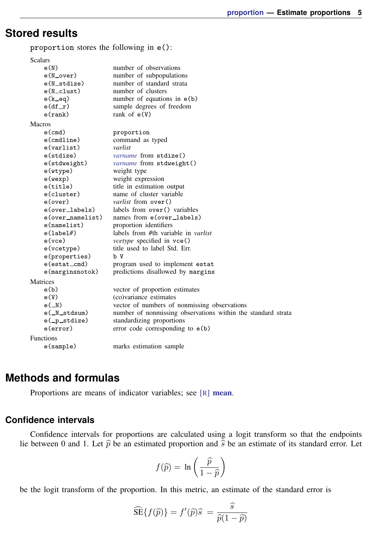# <span id="page-4-0"></span>**Stored results**

proportion stores the following in e():

| <b>Scalars</b>                |                                                              |  |
|-------------------------------|--------------------------------------------------------------|--|
| e(N)                          | number of observations                                       |  |
| $e(N_{over})$                 | number of subpopulations                                     |  |
| e(N_stdize)                   | number of standard strata                                    |  |
| $e(N_{\text{-}\text{clust}})$ | number of clusters                                           |  |
| $e(k$ $eq)$                   | number of equations in $e(b)$                                |  |
| $e(df_r)$                     | sample degrees of freedom                                    |  |
| $e$ (rank)                    | rank of $e(V)$                                               |  |
| <b>Macros</b>                 |                                                              |  |
| $e$ (cmd)                     | proportion                                                   |  |
| $e$ (cmdline)                 | command as typed                                             |  |
| e(varlist)                    | varlist                                                      |  |
| e(stdize)                     | <i>varname</i> from stdize()                                 |  |
| e(stdweight)                  | <i>varname</i> from stdweight()                              |  |
| e(wtype)                      | weight type                                                  |  |
| e(wexp)                       | weight expression                                            |  |
| e(title)                      | title in estimation output                                   |  |
| e(cluster)                    | name of cluster variable                                     |  |
| e(over)                       | <i>varlist</i> from $over()$                                 |  |
| e(over_labels)                | labels from over () variables                                |  |
| e(over_namelist)              | names from e(over_labels)                                    |  |
| e(namelist)                   | proportion identifiers                                       |  |
| e(1abel#)                     | labels from #th variable in <i>varlist</i>                   |  |
| $e$ (vce)                     | vcetype specified in vce()                                   |  |
| e(vcetype)                    | title used to label Std. Err.                                |  |
| e(properties)                 | b V                                                          |  |
| e(estat_cmd)                  | program used to implement estat                              |  |
| $e$ (marginsnotok)            | predictions disallowed by margins                            |  |
| <b>Matrices</b>               |                                                              |  |
| e(b)                          | vector of proportion estimates                               |  |
| e(V)                          | (co)variance estimates                                       |  |
| $e(\mathbb{N})$               | vector of numbers of nonmissing observations                 |  |
| e(_N_stdsum)                  | number of nonmissing observations within the standard strata |  |
| e(_p_stdize)                  | standardizing proportions                                    |  |
| e(error)                      | error code corresponding to $e(b)$                           |  |
| <b>Functions</b>              |                                                              |  |
| e(sample)                     | marks estimation sample                                      |  |

# <span id="page-4-1"></span>**Methods and formulas**

Proportions are means of indicator variables; see [R] [mean](http://www.stata.com/manuals13/rmean.pdf#rmean).

#### **Confidence intervals**

Confidence intervals for proportions are calculated using a logit transform so that the endpoints lie between 0 and 1. Let  $\hat{p}$  be an estimated proportion and  $\hat{s}$  be an estimate of its standard error. Let

$$
f(\widehat{p}) = \ln\left(\frac{\widehat{p}}{1-\widehat{p}}\right)
$$

be the logit transform of the proportion. In this metric, an estimate of the standard error is

$$
\widehat{\text{SE}}\{f(\widehat{p})\} = f'(\widehat{p})\widehat{s} = \frac{\widehat{s}}{\widehat{p}(1-\widehat{p})}
$$